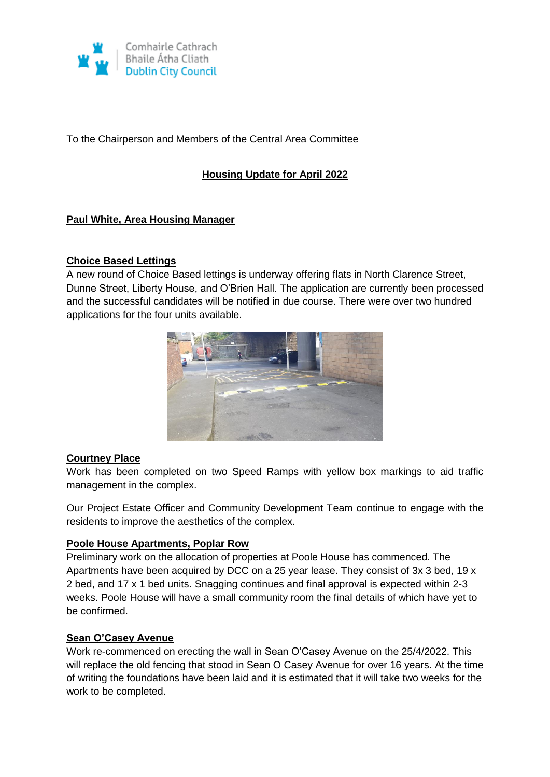

To the Chairperson and Members of the Central Area Committee

## **Housing Update for April 2022**

## **Paul White, Area Housing Manager**

#### **Choice Based Lettings**

A new round of Choice Based lettings is underway offering flats in North Clarence Street, Dunne Street, Liberty House, and O'Brien Hall. The application are currently been processed and the successful candidates will be notified in due course. There were over two hundred applications for the four units available.



#### **Courtney Place**

Work has been completed on two Speed Ramps with yellow box markings to aid traffic management in the complex.

Our Project Estate Officer and Community Development Team continue to engage with the residents to improve the aesthetics of the complex.

#### **Poole House Apartments, Poplar Row**

Preliminary work on the allocation of properties at Poole House has commenced. The Apartments have been acquired by DCC on a 25 year lease. They consist of 3x 3 bed, 19 x 2 bed, and 17 x 1 bed units. Snagging continues and final approval is expected within 2-3 weeks. Poole House will have a small community room the final details of which have yet to be confirmed.

#### **Sean O'Casey Avenue**

Work re-commenced on erecting the wall in Sean O'Casey Avenue on the 25/4/2022. This will replace the old fencing that stood in Sean O Casey Avenue for over 16 years. At the time of writing the foundations have been laid and it is estimated that it will take two weeks for the work to be completed.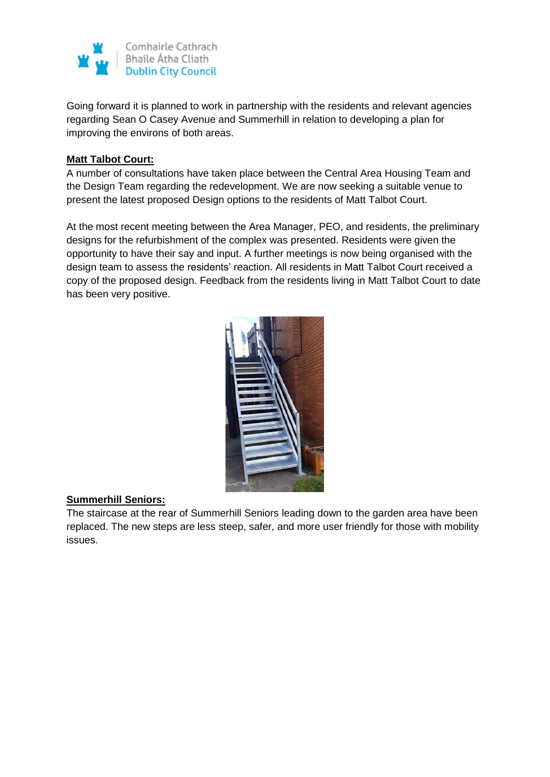

Going forward it is planned to work in partnership with the residents and relevant agencies regarding Sean O Casey Avenue and Summerhill in relation to developing a plan for improving the environs of both areas.

### **Matt Talbot Court:**

A number of consultations have taken place between the Central Area Housing Team and the Design Team regarding the redevelopment. We are now seeking a suitable venue to present the latest proposed Design options to the residents of Matt Talbot Court.

At the most recent meeting between the Area Manager, PEO, and residents, the preliminary designs for the refurbishment of the complex was presented. Residents were given the opportunity to have their say and input. A further meetings is now being organised with the design team to assess the residents' reaction. All residents in Matt Talbot Court received a copy of the proposed design. Feedback from the residents living in Matt Talbot Court to date has been very positive.



## **Summerhill Seniors:**

The staircase at the rear of Summerhill Seniors leading down to the garden area have been replaced. The new steps are less steep, safer, and more user friendly for those with mobility issues.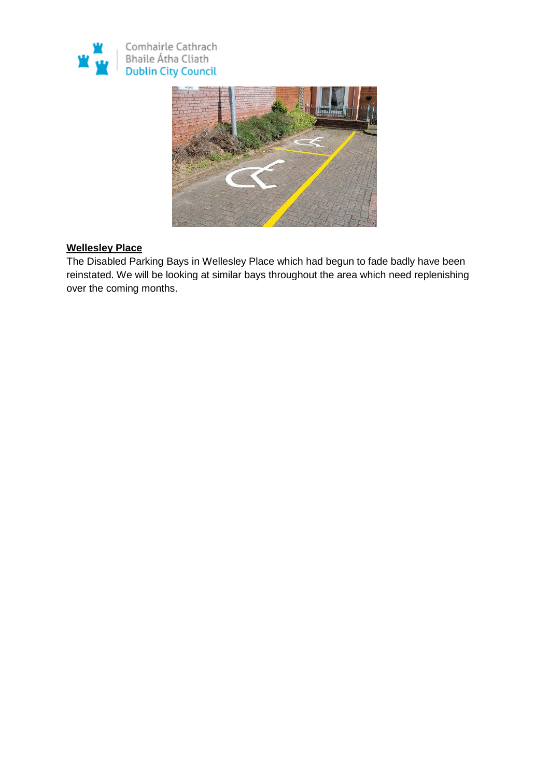



## **Wellesley Place**

The Disabled Parking Bays in Wellesley Place which had begun to fade badly have been reinstated. We will be looking at similar bays throughout the area which need replenishing over the coming months.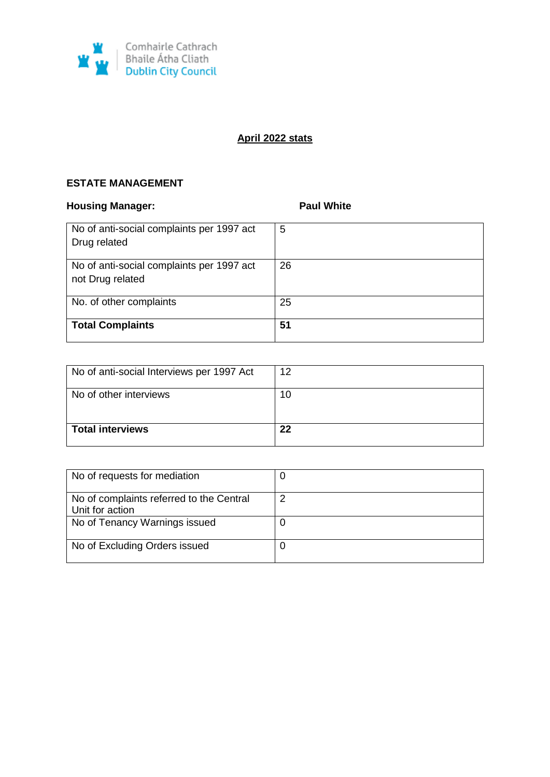

# **April 2022 stats**

## **ESTATE MANAGEMENT**

## **Housing Manager: Paul White Paul White**

| No of anti-social complaints per 1997 act<br>Drug related     | 5  |
|---------------------------------------------------------------|----|
| No of anti-social complaints per 1997 act<br>not Drug related | 26 |
| No. of other complaints                                       | 25 |
| <b>Total Complaints</b>                                       | 51 |

| No of anti-social Interviews per 1997 Act | 12 |
|-------------------------------------------|----|
| No of other interviews                    | 10 |
| <b>Total interviews</b>                   | 22 |

| No of requests for mediation                                |   |
|-------------------------------------------------------------|---|
| No of complaints referred to the Central<br>Unit for action | 2 |
| No of Tenancy Warnings issued                               |   |
| No of Excluding Orders issued                               |   |